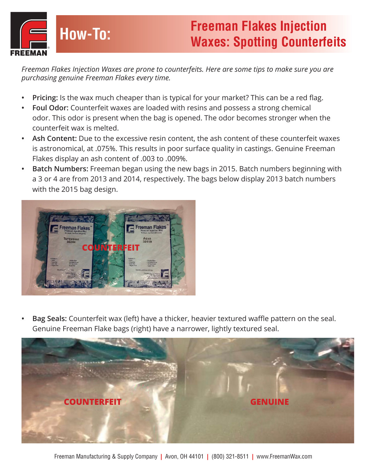

*Freeman Flakes Injection Waxes are prone to counterfeits. Here are some tips to make sure you are purchasing genuine Freeman Flakes every time.*

- **• Pricing:** Is the wax much cheaper than is typical for your market? This can be a red flag.
- **• Foul Odor:** Counterfeit waxes are loaded with resins and possess a strong chemical odor. This odor is present when the bag is opened. The odor becomes stronger when the counterfeit wax is melted.
- **• Ash Content:** Due to the excessive resin content, the ash content of these counterfeit waxes is astronomical, at .075%. This results in poor surface quality in castings. Genuine Freeman Flakes display an ash content of .003 to .009%.
- **• Batch Numbers:** Freeman began using the new bags in 2015. Batch numbers beginning with a 3 or 4 are from 2013 and 2014, respectively. The bags below display 2013 batch numbers with the 2015 bag design.



**• Bag Seals:** Counterfeit wax (left) have a thicker, heavier textured waffle pattern on the seal. Genuine Freeman Flake bags (right) have a narrower, lightly textured seal.